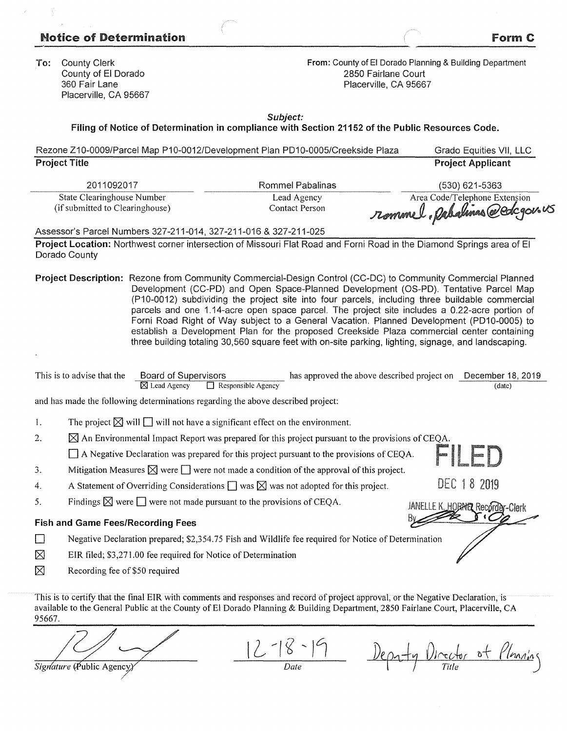## Notice of Determination  $\blacksquare$  Form C

| <b>To:</b> County Clerk |
|-------------------------|
| County of El Dorado     |
| 360 Fair Lane           |
| Placerville, CA 95667   |

**From:** County of El Dorado Planning & Building Department 2850 Fairlane Court Placerville, CA 95667

**Subject:** 

**Filing of Notice of Determination in compliance with Section 21152 of the Public Resources Code.** 

| Rezone Z10-0009/Parcel Map P10-0012/Development Plan PD10-0005/Creekside Plaza | Grado Equities VII, LLC                                                                                                                                                                                                                                                                                                                                                                                                                                                                                                                                                                                                                                                                                     |                                                                                                                        |                          |  |  |  |  |
|--------------------------------------------------------------------------------|-------------------------------------------------------------------------------------------------------------------------------------------------------------------------------------------------------------------------------------------------------------------------------------------------------------------------------------------------------------------------------------------------------------------------------------------------------------------------------------------------------------------------------------------------------------------------------------------------------------------------------------------------------------------------------------------------------------|------------------------------------------------------------------------------------------------------------------------|--------------------------|--|--|--|--|
| <b>Project Title</b>                                                           |                                                                                                                                                                                                                                                                                                                                                                                                                                                                                                                                                                                                                                                                                                             |                                                                                                                        | <b>Project Applicant</b> |  |  |  |  |
| 2011092017                                                                     |                                                                                                                                                                                                                                                                                                                                                                                                                                                                                                                                                                                                                                                                                                             | Rommel Pabalinas                                                                                                       | (530) 621-5363           |  |  |  |  |
| State Clearinghouse Number                                                     |                                                                                                                                                                                                                                                                                                                                                                                                                                                                                                                                                                                                                                                                                                             | Lead Agency                                                                                                            |                          |  |  |  |  |
| (if submitted to Clearinghouse)                                                |                                                                                                                                                                                                                                                                                                                                                                                                                                                                                                                                                                                                                                                                                                             | Area Code/Telephone Extension<br><b>Contact Person</b>                                                                 |                          |  |  |  |  |
| Assessor's Parcel Numbers 327-211-014, 327-211-016 & 327-211-025               |                                                                                                                                                                                                                                                                                                                                                                                                                                                                                                                                                                                                                                                                                                             |                                                                                                                        |                          |  |  |  |  |
| Dorado County                                                                  |                                                                                                                                                                                                                                                                                                                                                                                                                                                                                                                                                                                                                                                                                                             | Project Location: Northwest corner intersection of Missouri Flat Road and Forni Road in the Diamond Springs area of El |                          |  |  |  |  |
|                                                                                | Project Description: Rezone from Community Commercial-Design Control (CC-DC) to Community Commercial Planned<br>Development (CC-PD) and Open Space-Planned Development (OS-PD). Tentative Parcel Map<br>(P10-0012) subdividing the project site into four parcels, including three buildable commercial<br>parcels and one 1.14-acre open space parcel. The project site includes a 0.22-acre portion of<br>Forni Road Right of Way subject to a General Vacation. Planned Development (PD10-0005) to<br>establish a Development Plan for the proposed Creekside Plaza commercial center containing<br>three building totaling 30,560 square feet with on-site parking, lighting, signage, and landscaping. |                                                                                                                        |                          |  |  |  |  |

| This is to advise that the | <b>Board of Supervisors</b> |                                                   | has approved the above described project on December 18, 2019 |        |
|----------------------------|-----------------------------|---------------------------------------------------|---------------------------------------------------------------|--------|
|                            |                             | $\boxtimes$ Lead Agency $\Box$ Responsible Agency |                                                               | (date) |

and has made the following determinations regarding the above described project:

1. The project  $\boxtimes$  will  $\Box$  will not have a significant effect on the environment.

2.  $\boxtimes$  An Environmental Impact Report was prepared for this project pursuant to the provisions of CEQA.

D A Negative Declaration was prepared for this project pursuant to the provisions of CEQA.

3. Mitigation Measures  $\boxtimes$  were  $\Box$  were not made a condition of the approval of this project.

- 4. A Statement of Overriding Considerations  $\Box$  was  $\boxtimes$  was not adopted for this project.
- 5. Findings  $\boxtimes$  were  $\Box$  were not made pursuant to the provisions of CEOA.

## **Fish and Game Fees/Recording Fees**

D Negative Declaration prepared; \$2,354.75 Fish and Wildlife fee required for Notice of Determination

- $[\times]$  EIR filed; \$3,271.00 fee required for Notice of Determination
- $\boxtimes$  Recording fee of \$50 required

This is to certify that the final EIR with comments and responses and record of project approval, or the Negative Declaration, is available to the General Public at the County of El Dorado Planning & Building Department, 2850 Fairlane Court, Placerville, CA 95667.

Signature (Public Agency)

Depaty Director of Planning

Fl

DEC 18 2019

JANELLE K. HOBHER Recorder-Clerk